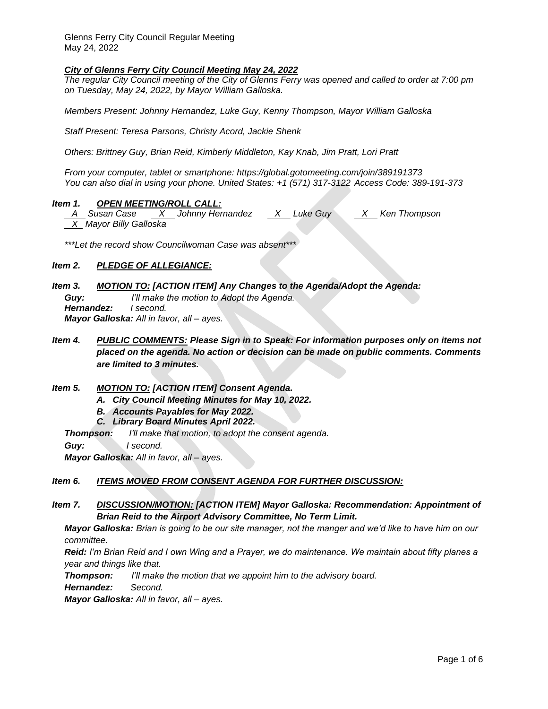Glenns Ferry City Council Regular Meeting May 24, 2022

## *City of Glenns Ferry City Council Meeting May 24, 2022*

*The regular City Council meeting of the City of Glenns Ferry was opened and called to order at 7:00 pm on Tuesday, May 24, 2022, by Mayor William Galloska.*

*Members Present: Johnny Hernandez, Luke Guy, Kenny Thompson, Mayor William Galloska*

*Staff Present: Teresa Parsons, Christy Acord, Jackie Shenk*

*Others: Brittney Guy, Brian Reid, Kimberly Middleton, Kay Knab, Jim Pratt, Lori Pratt*

*From your computer, tablet or smartphone:<https://global.gotomeeting.com/join/389191373> You can also dial in using your phone. United States: [+1 \(571\) 317-3122](tel:+15713173122,,389191373) Access Code: 389-191-373*

## *Item 1. OPEN MEETING/ROLL CALL:*

 *A Susan Case X Johnny Hernandez X Luke Guy X Ken Thompson X Mayor Billy Galloska*

*\*\*\*Let the record show Councilwoman Case was absent\*\*\**

# *Item 2. PLEDGE OF ALLEGIANCE:*

*Item 3. MOTION TO: [ACTION ITEM] Any Changes to the Agenda/Adopt the Agenda:*

*Guy: I'll make the motion to Adopt the Agenda. Hernandez: I second. Mayor Galloska: All in favor, all – ayes.* 

- *Item 4. PUBLIC COMMENTS: Please Sign in to Speak: For information purposes only on items not placed on the agenda. No action or decision can be made on public comments. Comments are limited to 3 minutes.*
- *Item 5. MOTION TO: [ACTION ITEM] Consent Agenda.* 
	- *A. City Council Meeting Minutes for May 10, 2022.*
	- *B. Accounts Payables for May 2022.*
	- *C. Library Board Minutes April 2022.*

*Thompson: I'll make that motion, to adopt the consent agenda.* 

*Guy: I second.*

*Mayor Galloska: All in favor, all – ayes.*

### *Item 6. ITEMS MOVED FROM CONSENT AGENDA FOR FURTHER DISCUSSION:*

*Item 7. DISCUSSION/MOTION: [ACTION ITEM] Mayor Galloska: Recommendation: Appointment of Brian Reid to the Airport Advisory Committee, No Term Limit.* 

*Mayor Galloska: Brian is going to be our site manager, not the manger and we'd like to have him on our committee.* 

*Reid: I'm Brian Reid and I own Wing and a Prayer, we do maintenance. We maintain about fifty planes a year and things like that.* 

*Thompson: I'll make the motion that we appoint him to the advisory board.* 

*Hernandez: Second.*

*Mayor Galloska: All in favor, all – ayes.*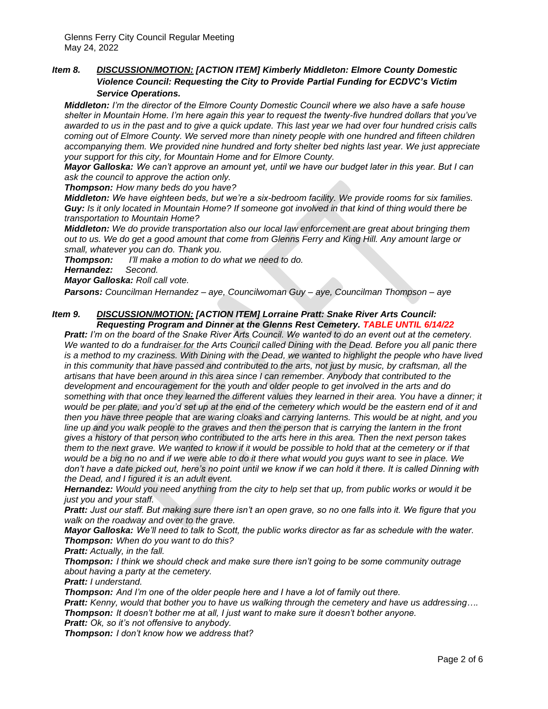# *Item 8. DISCUSSION/MOTION: [ACTION ITEM] Kimberly Middleton: Elmore County Domestic Violence Council: Requesting the City to Provide Partial Funding for ECDVC's Victim Service Operations.*

*Middleton: I'm the director of the Elmore County Domestic Council where we also have a safe house shelter in Mountain Home. I'm here again this year to request the twenty-five hundred dollars that you've awarded to us in the past and to give a quick update. This last year we had over four hundred crisis calls coming out of Elmore County. We served more than ninety people with one hundred and fifteen children accompanying them. We provided nine hundred and forty shelter bed nights last year. We just appreciate your support for this city, for Mountain Home and for Elmore County.* 

*Mayor Galloska: We can't approve an amount yet, until we have our budget later in this year. But I can ask the council to approve the action only.* 

*Thompson: How many beds do you have?*

*Middleton: We have eighteen beds, but we're a six-bedroom facility. We provide rooms for six families. Guy: Is it only located in Mountain Home? If someone got involved in that kind of thing would there be transportation to Mountain Home?*

*Middleton: We do provide transportation also our local law enforcement are great about bringing them out to us. We do get a good amount that come from Glenns Ferry and King Hill. Any amount large or small, whatever you can do. Thank you.*

*Thompson: I'll make a motion to do what we need to do.* 

*Hernandez: Second.*

*Mayor Galloska: Roll call vote.*

*Parsons: Councilman Hernandez – aye, Councilwoman Guy – aye, Councilman Thompson – aye* 

### *Item 9. DISCUSSION/MOTION: [ACTION ITEM] Lorraine Pratt: Snake River Arts Council: Requesting Program and Dinner at the Glenns Rest Cemetery. TABLE UNTIL 6/14/22*

*Pratt: I'm on the board of the Snake River Arts Council. We wanted to do an event out at the cemetery. We wanted to do a fundraiser for the Arts Council called Dining with the Dead. Before you all panic there is a method to my craziness. With Dining with the Dead, we wanted to highlight the people who have lived in this community that have passed and contributed to the arts, not just by music, by craftsman, all the artisans that have been around in this area since I can remember. Anybody that contributed to the development and encouragement for the youth and older people to get involved in the arts and do something with that once they learned the different values they learned in their area. You have a dinner; it would be per plate, and you'd set up at the end of the cemetery which would be the eastern end of it and then you have three people that are waring cloaks and carrying lanterns. This would be at night, and you*  line up and you walk people to the graves and then the person that is carrying the lantern in the front *gives a history of that person who contributed to the arts here in this area. Then the next person takes them to the next grave. We wanted to know if it would be possible to hold that at the cemetery or if that would be a big no no and if we were able to do it there what would you guys want to see in place. We*  don't have a date picked out, here's no point until we know if we can hold it there. It is called Dinning with *the Dead, and I figured it is an adult event.* 

*Hernandez: Would you need anything from the city to help set that up, from public works or would it be just you and your staff.* 

*Pratt: Just our staff. But making sure there isn't an open grave, so no one falls into it. We figure that you walk on the roadway and over to the grave.* 

*Mayor Galloska: We'll need to talk to Scott, the public works director as far as schedule with the water. Thompson: When do you want to do this?*

*Pratt: Actually, in the fall.*

*Thompson: I think we should check and make sure there isn't going to be some community outrage about having a party at the cemetery.*

*Pratt: I understand.*

*Thompson: And I'm one of the older people here and I have a lot of family out there.*

*Pratt: Kenny, would that bother you to have us walking through the cemetery and have us addressing…. Thompson: It doesn't bother me at all, I just want to make sure it doesn't bother anyone.* 

*Pratt: Ok, so it's not offensive to anybody.*

*Thompson: I don't know how we address that?*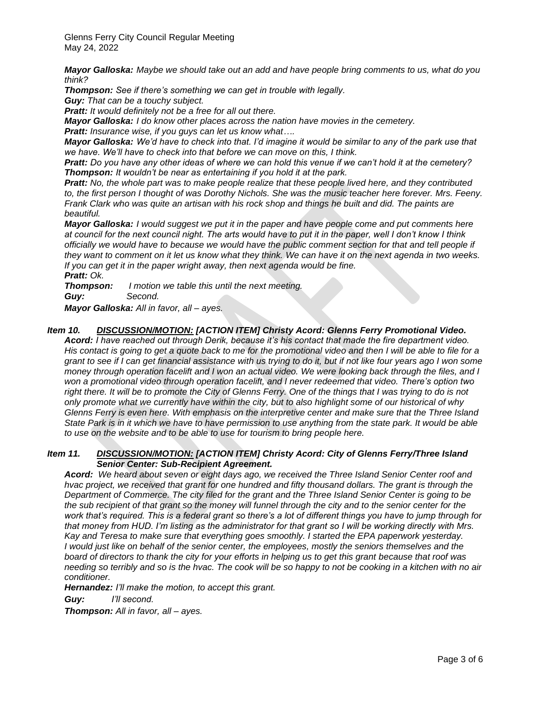Glenns Ferry City Council Regular Meeting May 24, 2022

*Mayor Galloska: Maybe we should take out an add and have people bring comments to us, what do you think?*

*Thompson: See if there's something we can get in trouble with legally.*

*Guy: That can be a touchy subject.*

*Pratt: It would definitely not be a free for all out there.* 

*Mayor Galloska: I do know other places across the nation have movies in the cemetery.*

*Pratt: Insurance wise, if you guys can let us know what….*

*Mayor Galloska: We'd have to check into that. I'd imagine it would be similar to any of the park use that we have. We'll have to check into that before we can move on this, I think.*

*Pratt: Do you have any other ideas of where we can hold this venue if we can't hold it at the cemetery? Thompson: It wouldn't be near as entertaining if you hold it at the park.*

*Pratt: No, the whole part was to make people realize that these people lived here, and they contributed to, the first person I thought of was Dorothy Nichols. She was the music teacher here forever. Mrs. Feeny. Frank Clark who was quite an artisan with his rock shop and things he built and did. The paints are beautiful.* 

*Mayor Galloska: I would suggest we put it in the paper and have people come and put comments here at council for the next council night. The arts would have to put it in the paper, well I don't know I think officially we would have to because we would have the public comment section for that and tell people if they want to comment on it let us know what they think. We can have it on the next agenda in two weeks. If you can get it in the paper wright away, then next agenda would be fine. Pratt: Ok.* 

*Thompson: I motion we table this until the next meeting. Guy: Second.*

*Mayor Galloska: All in favor, all – ayes.*

# *Item 10. DISCUSSION/MOTION: [ACTION ITEM] Christy Acord: Glenns Ferry Promotional Video.*

*Acord: I have reached out through Derik, because it's his contact that made the fire department video. His contact is going to get a quote back to me for the promotional video and then I will be able to file for a grant to see if I can get financial assistance with us trying to do it, but if not like four years ago I won some money through operation facelift and I won an actual video. We were looking back through the files, and I won a promotional video through operation facelift, and I never redeemed that video. There's option two*  right there. It will be to promote the City of Glenns Ferry. One of the things that I was trying to do is not *only promote what we currently have within the city, but to also highlight some of our historical of why Glenns Ferry is even here. With emphasis on the interpretive center and make sure that the Three Island State Park is in it which we have to have permission to use anything from the state park. It would be able to use on the website and to be able to use for tourism to bring people here.* 

### *Item 11. DISCUSSION/MOTION: [ACTION ITEM] Christy Acord: City of Glenns Ferry/Three Island Senior Center: Sub-Recipient Agreement.*

*Acord: We heard about seven or eight days ago, we received the Three Island Senior Center roof and hvac project, we received that grant for one hundred and fifty thousand dollars. The grant is through the Department of Commerce. The city filed for the grant and the Three Island Senior Center is going to be the sub recipient of that grant so the money will funnel through the city and to the senior center for the work that's required. This is a federal grant so there's a lot of different things you have to jump through for that money from HUD. I'm listing as the administrator for that grant so I will be working directly with Mrs. Kay and Teresa to make sure that everything goes smoothly. I started the EPA paperwork yesterday. I would just like on behalf of the senior center, the employees, mostly the seniors themselves and the board of directors to thank the city for your efforts in helping us to get this grant because that roof was needing so terribly and so is the hvac. The cook will be so happy to not be cooking in a kitchen with no air conditioner.* 

*Hernandez: I'll make the motion, to accept this grant.*

*Guy: I'll second.*

*Thompson: All in favor, all – ayes.*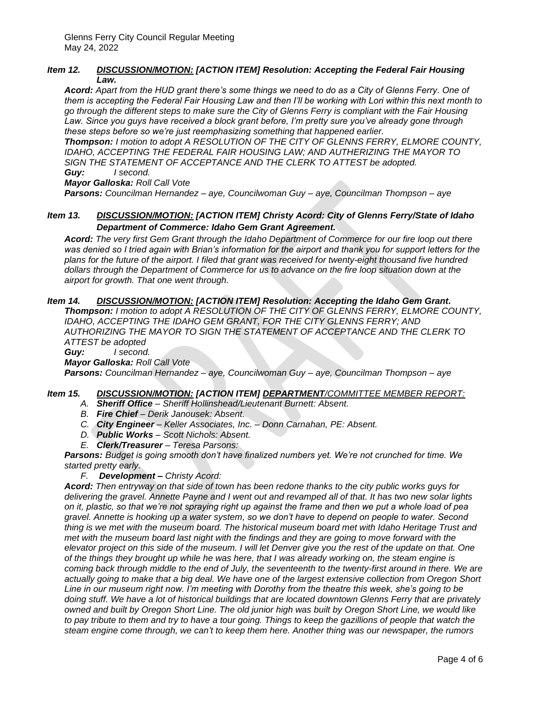## *Item 12. DISCUSSION/MOTION: [ACTION ITEM] Resolution: Accepting the Federal Fair Housing Law.*

*Acord: Apart from the HUD grant there's some things we need to do as a City of Glenns Ferry. One of them is accepting the Federal Fair Housing Law and then I'll be working with Lori within this next month to go through the different steps to make sure the City of Glenns Ferry is compliant with the Fair Housing Law. Since you guys have received a block grant before, I'm pretty sure you've already gone through these steps before so we're just reemphasizing something that happened earlier.* 

*Thompson: I motion to adopt A RESOLUTION OF THE CITY OF GLENNS FERRY, ELMORE COUNTY, IDAHO, ACCEPTING THE FEDERAL FAIR HOUSING LAW; AND AUTHERIZING THE MAYOR TO SIGN THE STATEMENT OF ACCEPTANCE AND THE CLERK TO ATTEST be adopted. Guy: I second.*

*Mayor Galloska: Roll Call Vote*

*Parsons: Councilman Hernandez – aye, Councilwoman Guy – aye, Councilman Thompson – aye* 

## *Item 13. DISCUSSION/MOTION: [ACTION ITEM] Christy Acord: City of Glenns Ferry/State of Idaho Department of Commerce: Idaho Gem Grant Agreement.*

*Acord: The very first Gem Grant through the Idaho Department of Commerce for our fire loop out there*  was denied so I tried again with Brian's information for the airport and thank you for support letters for the *plans for the future of the airport. I filed that grant was received for twenty-eight thousand five hundred dollars through the Department of Commerce for us to advance on the fire loop situation down at the airport for growth. That one went through.*

# *Item 14. DISCUSSION/MOTION: [ACTION ITEM] Resolution: Accepting the Idaho Gem Grant.*

*Thompson: I motion to adopt A RESOLUTION OF THE CITY OF GLENNS FERRY, ELMORE COUNTY,*  **IDAHO, ACCEPTING THE IDAHO GEM GRANT, FOR THE CITY GLENNS FERRY; AND** *AUTHORIZING THE MAYOR TO SIGN THE STATEMENT OF ACCEPTANCE AND THE CLERK TO ATTEST be adopted*

*Guy: I second.*

*Mayor Galloska: Roll Call Vote*

*Parsons: Councilman Hernandez – aye, Councilwoman Guy – aye, Councilman Thompson – aye* 

# *Item 15. DISCUSSION/MOTION: [ACTION ITEM] DEPARTMENT/COMMITTEE MEMBER REPORT:*

- *A. Sheriff Office – Sheriff Hollinshead/Lieutenant Burnett: Absent.*
- *B. Fire Chief – Derik Janousek: Absent.*
- *C. City Engineer – Keller Associates, Inc. – Donn Carnahan, PE: Absent.*
- *D. Public Works – Scott Nichols: Absent.*
- *E. Clerk/Treasurer – Teresa Parsons:*

*Parsons: Budget is going smooth don't have finalized numbers yet. We're not crunched for time. We started pretty early.* 

*F. Development – Christy Acord:*

*Acord: Then entryway on that side of town has been redone thanks to the city public works guys for delivering the gravel. Annette Payne and I went out and revamped all of that. It has two new solar lights on it, plastic, so that we're not spraying right up against the frame and then we put a whole load of pea gravel. Annette is hooking up a water system, so we don't have to depend on people to water. Second thing is we met with the museum board. The historical museum board met with Idaho Heritage Trust and met with the museum board last night with the findings and they are going to move forward with the elevator project on this side of the museum. I will let Denver give you the rest of the update on that. One of the things they brought up while he was here, that I was already working on, the steam engine is coming back through middle to the end of July, the seventeenth to the twenty-first around in there. We are actually going to make that a big deal. We have one of the largest extensive collection from Oregon Short Line in our museum right now. I'm meeting with Dorothy from the theatre this week, she's going to be doing stuff. We have a lot of historical buildings that are located downtown Glenns Ferry that are privately owned and built by Oregon Short Line. The old junior high was built by Oregon Short Line, we would like to pay tribute to them and try to have a tour going. Things to keep the gazillions of people that watch the steam engine come through, we can't to keep them here. Another thing was our newspaper, the rumors*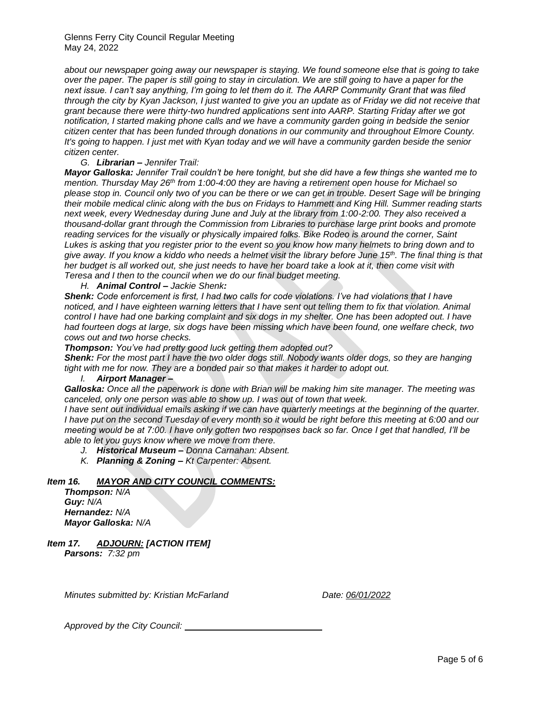*about our newspaper going away our newspaper is staying. We found someone else that is going to take over the paper. The paper is still going to stay in circulation. We are still going to have a paper for the next issue. I can't say anything, I'm going to let them do it. The AARP Community Grant that was filed through the city by Kyan Jackson, I just wanted to give you an update as of Friday we did not receive that grant because there were thirty-two hundred applications sent into AARP. Starting Friday after we got notification, I started making phone calls and we have a community garden going in bedside the senior citizen center that has been funded through donations in our community and throughout Elmore County. It's going to happen. I just met with Kyan today and we will have a community garden beside the senior citizen center.* 

## *G. Librarian – Jennifer Trail:*

*Mayor Galloska: Jennifer Trail couldn't be here tonight, but she did have a few things she wanted me to mention. Thursday May 26th from 1:00-4:00 they are having a retirement open house for Michael so please stop in. Council only two of you can be there or we can get in trouble. Desert Sage will be bringing their mobile medical clinic along with the bus on Fridays to Hammett and King Hill. Summer reading starts next week, every Wednesday during June and July at the library from 1:00-2:00. They also received a thousand-dollar grant through the Commission from Libraries to purchase large print books and promote reading services for the visually or physically impaired folks. Bike Rodeo is around the corner, Saint Lukes is asking that you register prior to the event so you know how many helmets to bring down and to give away. If you know a kiddo who needs a helmet visit the library before June 15th. The final thing is that her budget is all worked out, she just needs to have her board take a look at it, then come visit with Teresa and I then to the council when we do our final budget meeting.* 

*H. Animal Control – Jackie Shenk:* 

*Shenk: Code enforcement is first, I had two calls for code violations. I've had violations that I have noticed, and I have eighteen warning letters that I have sent out telling them to fix that violation. Animal control I have had one barking complaint and six dogs in my shelter. One has been adopted out. I have had fourteen dogs at large, six dogs have been missing which have been found, one welfare check, two cows out and two horse checks.*

*Thompson: You've had pretty good luck getting them adopted out?*

*Shenk: For the most part I have the two older dogs still. Nobody wants older dogs, so they are hanging*  tight with me for now. They are a bonded pair so that makes it harder to adopt out.

### *I. Airport Manager –*

*Galloska: Once all the paperwork is done with Brian will be making him site manager. The meeting was canceled, only one person was able to show up. I was out of town that week.* 

*I have sent out individual emails asking if we can have quarterly meetings at the beginning of the quarter. I have put on the second Tuesday of every month so it would be right before this meeting at 6:00 and our meeting would be at 7:00. I have only gotten two responses back so far. Once I get that handled, I'll be able to let you guys know where we move from there.* 

- *J. Historical Museum – Donna Carnahan: Absent.*
- *K. Planning & Zoning – Kt Carpenter: Absent.*

### *Item 16. MAYOR AND CITY COUNCIL COMMENTS:*

*Thompson: N/A Guy: N/A Hernandez: N/A Mayor Galloska: N/A*

*Item 17. ADJOURN: [ACTION ITEM] Parsons: 7:32 pm*

*Minutes submitted by: Kristian McFarland Date: 06/01/2022*

*Approved by the City Council:*